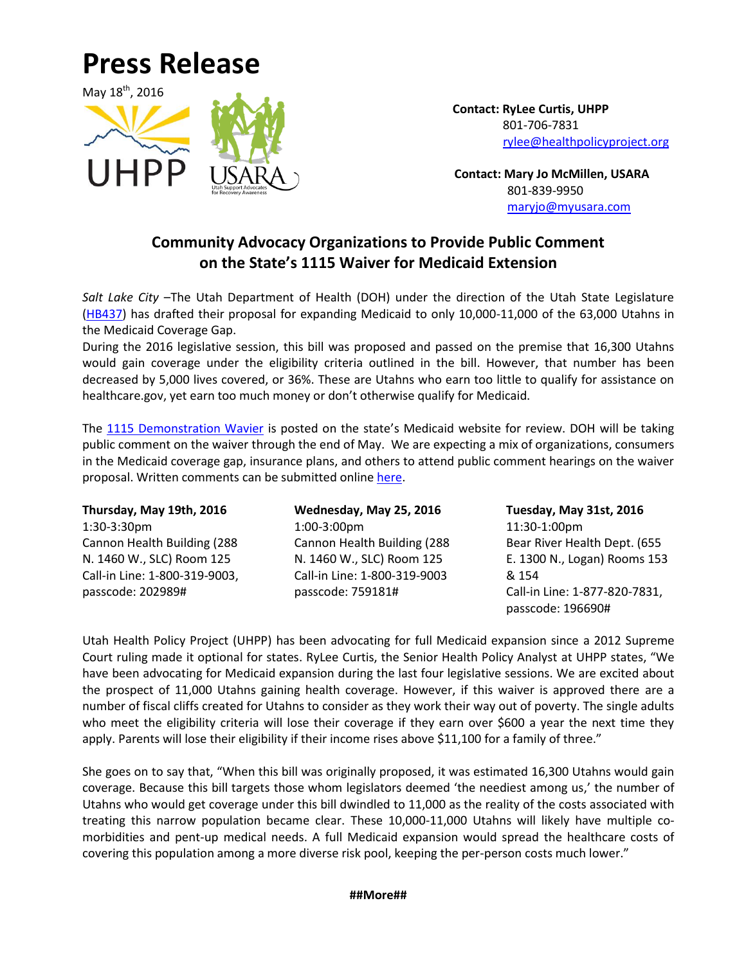## **Press Release**



 **Contact: RyLee Curtis, UHPP** 801-706-7831 [rylee@healthpolicyproject.org](mailto:rylee@healthpolicyproject.org)

 **Contact: Mary Jo McMillen, USARA** 801-839-9950 [maryjo@myusara.com](mailto:maryjo@myusara.com)

## **Community Advocacy Organizations to Provide Public Comment on the State's 1115 Waiver for Medicaid Extension**

*Salt Lake City* –The Utah Department of Health (DOH) under the direction of the Utah State Legislature [\(HB437\)](http://health.utah.gov/MedicaidExpansion/pdfs/HB0437.pdf) has drafted their proposal for expanding Medicaid to only 10,000-11,000 of the 63,000 Utahns in the Medicaid Coverage Gap.

During the 2016 legislative session, this bill was proposed and passed on the premise that 16,300 Utahns would gain coverage under the eligibility criteria outlined in the bill. However, that number has been decreased by 5,000 lives covered, or 36%. These are Utahns who earn too little to qualify for assistance on healthcare.gov, yet earn too much money or don't otherwise qualify for Medicaid.

The [1115 Demonstration Wavier](http://health.utah.gov/MedicaidExpansion/pdfs/1115%20Demonstration%20Waiver_5.16.pdf) is posted on the state's Medicaid website for review. DOH will be taking public comment on the waiver through the end of May. We are expecting a mix of organizations, consumers in the Medicaid coverage gap, insurance plans, and others to attend public comment hearings on the waiver proposal. Written comments can be submitted online [here.](http://health.utah.gov/MedicaidExpansion/comments.html)

**Thursday, May 19th, 2016** 1:30-3:30pm Cannon Health Building (288 N. 1460 W., SLC) Room 125 Call-in Line: 1-800-319-9003, passcode: 202989#

**Wednesday, May 25, 2016** 1:00-3:00pm Cannon Health Building (288 N. 1460 W., SLC) Room 125 Call-in Line: 1-800-319-9003 passcode: 759181#

**Tuesday, May 31st, 2016** 11:30-1:00pm Bear River Health Dept. (655 E. 1300 N., Logan) Rooms 153 & 154 Call-in Line: 1-877-820-7831, passcode: 196690#

Utah Health Policy Project (UHPP) has been advocating for full Medicaid expansion since a 2012 Supreme Court ruling made it optional for states. RyLee Curtis, the Senior Health Policy Analyst at UHPP states, "We have been advocating for Medicaid expansion during the last four legislative sessions. We are excited about the prospect of 11,000 Utahns gaining health coverage. However, if this waiver is approved there are a number of fiscal cliffs created for Utahns to consider as they work their way out of poverty. The single adults who meet the eligibility criteria will lose their coverage if they earn over \$600 a year the next time they apply. Parents will lose their eligibility if their income rises above \$11,100 for a family of three."

She goes on to say that, "When this bill was originally proposed, it was estimated 16,300 Utahns would gain coverage. Because this bill targets those whom legislators deemed 'the neediest among us,' the number of Utahns who would get coverage under this bill dwindled to 11,000 as the reality of the costs associated with treating this narrow population became clear. These 10,000-11,000 Utahns will likely have multiple comorbidities and pent-up medical needs. A full Medicaid expansion would spread the healthcare costs of covering this population among a more diverse risk pool, keeping the per-person costs much lower."